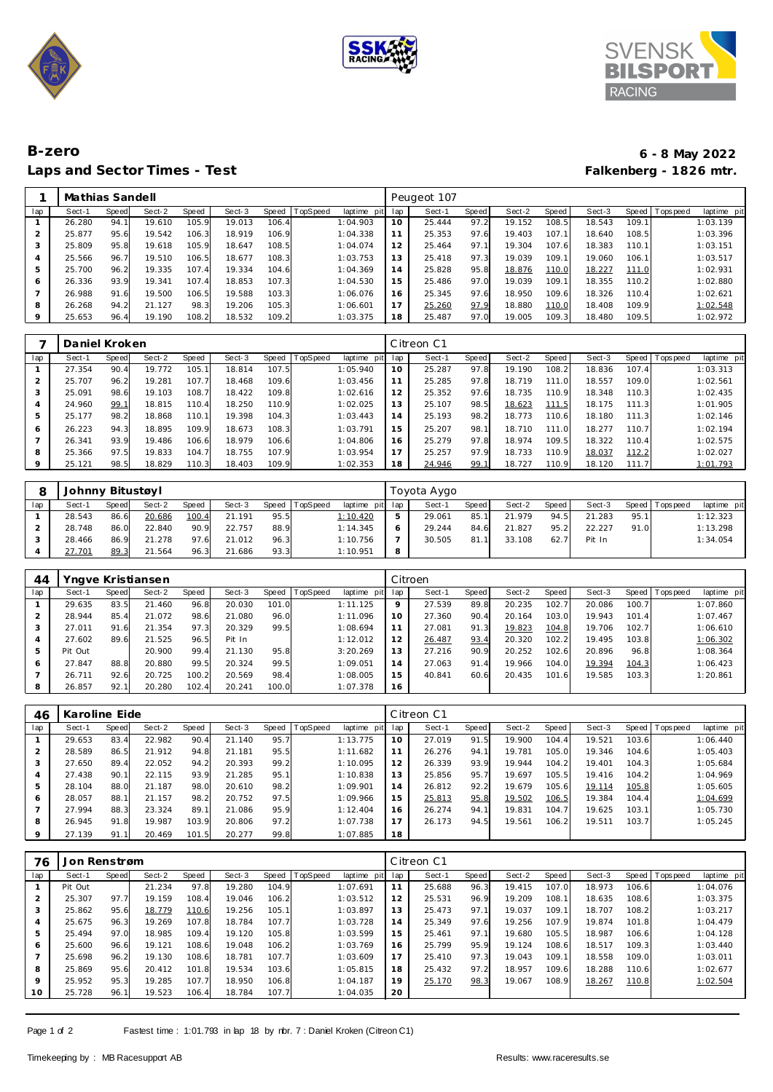





## **B-zero 6 - 8 May 2022** Laps and Sector Times - Test

|                |        | Mathias Sandell |        |       |        |       |                |                |     |        | Peugeot 107 |        |       |        |       |                |             |  |  |  |
|----------------|--------|-----------------|--------|-------|--------|-------|----------------|----------------|-----|--------|-------------|--------|-------|--------|-------|----------------|-------------|--|--|--|
| lap            | Sect-1 | Speed           | Sect-2 | Speed | Sect-3 |       | Speed TopSpeed | laptime<br>pit | lap | Sect-1 | Speed       | Sect-2 | Speed | Sect-3 |       | Speed Topspeed | laptime pit |  |  |  |
|                | 26.280 | 94.1            | 19.610 | 105.9 | 19.013 | 106.4 |                | 1:04.903       | 10  | 25.444 | 97.2        | 19.152 | 108.5 | 18.543 | 109.1 |                | 1:03.139    |  |  |  |
|                | 25.877 | 95.6            | 19.542 | 106.3 | 18.919 | 106.9 |                | 1:04.338       | 11  | 25.353 | 97.6        | 19.403 | 107.1 | 18.640 | 108.5 |                | 1:03.396    |  |  |  |
| 3              | 25.809 | 95.8            | 19.618 | 105.9 | 18.647 | 108.5 |                | 1:04.074       | 12  | 25.464 | 97.1        | 19.304 | 107.6 | 18.383 | 110.1 |                | 1:03.151    |  |  |  |
| $\overline{4}$ | 25.566 | 96.7            | 19.510 | 106.5 | 18.677 | 108.3 |                | 1:03.753       | 13  | 25.418 | 97.3        | 19.039 | 109.1 | 19.060 | 106.1 |                | 1:03.517    |  |  |  |
| 5              | 25.700 | 96.2            | 19.335 | 107.4 | 19.334 | 104.6 |                | 1:04.369       | 14  | 25.828 | 95.8        | 18.876 | 110.0 | 18.227 | 111.0 |                | 1:02.931    |  |  |  |
| 6              | 26.336 | 93.9            | 19.341 | 107.4 | 18.853 | 107.3 |                | 1:04.530       | 15  | 25.486 | 97.0        | 19.039 | 109.1 | 18.355 | 110.2 |                | 1:02.880    |  |  |  |
|                | 26.988 | 91.6            | 19.500 | 106.5 | 19.588 | 103.3 |                | 1:06.076       | 16  | 25.345 | 97.6        | 18.950 | 109.6 | 18.326 | 110.4 |                | 1:02.621    |  |  |  |
| 8              | 26.268 | 94.2            | 21.127 | 98.3  | 19.206 | 105.3 |                | 1:06.601       | 17  | 25.260 | 97.9        | 18.880 | 110.0 | 18.408 | 109.9 |                | 1:02.548    |  |  |  |
| 9              | 25.653 | 96.4            | 19.190 | 108.2 | 18.532 | 109.2 |                | 1:03.375       | 18  | 25.487 | 97.0        | 19.005 | 109.3 | 18.480 | 109.5 |                | 1:02.972    |  |  |  |

|                | Daniel Kroken |       |        |       |        |       |                 |             | Citreon C1     |        |       |        |       |        |       |                 |             |
|----------------|---------------|-------|--------|-------|--------|-------|-----------------|-------------|----------------|--------|-------|--------|-------|--------|-------|-----------------|-------------|
| lap            | Sect-1        | Speed | Sect-2 | Speed | Sect-3 | Speed | <b>TopSpeed</b> | laptime pit | lap            | Sect-1 | Speed | Sect-2 | Speed | Sect-3 |       | Speed Tops peed | laptime pit |
|                | 27.354        | 90.4  | 19.772 | 105.1 | 18.814 | 107.5 |                 | 1:05.940    | 10             | 25.287 | 97.8  | 19.190 | 108.2 | 18.836 | 107.4 |                 | 1:03.313    |
|                | 25.707        | 96.2  | 19.281 | 107.7 | 18.468 | 109.6 |                 | 1:03.456    | 11             | 25.285 | 97.8  | 18.719 | 111.0 | 18.557 | 109.0 |                 | 1:02.561    |
| 3              | 25.091        | 98.6  | 19.103 | 108.7 | 18.422 | 109.8 |                 | 1:02.616    | 12             | 25.352 | 97.6  | 18.735 | 110.9 | 18.348 | 110.3 |                 | 1:02.435    |
| $\overline{4}$ | 24.960        | 99.1  | 18.815 | 110.4 | 18.250 | 110.9 |                 | 1:02.025    | 13             | 25.107 | 98.5  | 18.623 | 111.5 | 18.175 | 111.3 |                 | 1:01.905    |
| 5              | 25.177        | 98.2  | 18.868 | 110.1 | 19.398 | 104.3 |                 | 1:03.443    | $\overline{4}$ | 25.193 | 98.2  | 18.773 | 110.6 | 18.180 | 111.3 |                 | 1:02.146    |
| 6              | 26.223        | 94.3  | 18.895 | 109.9 | 18.673 | 108.3 |                 | 1:03.791    | 15             | 25.207 | 98.1  | 18.710 | 111.0 | 18.277 | 110.7 |                 | 1:02.194    |
|                | 26.341        | 93.9  | 19.486 | 106.6 | 18.979 | 106.6 |                 | 1:04.806    | 16             | 25.279 | 97.8  | 18.974 | 109.5 | 18.322 | 110.4 |                 | 1:02.575    |
| 8              | 25.366        | 97.5  | 19.833 | 104.7 | 18.755 | 107.9 |                 | 1:03.954    | 17             | 25.257 | 97.9  | 18.733 | 110.9 | 18.037 | 112.2 |                 | 1:02.027    |
| 9              | 25.121        | 98.5  | 18.829 | 110.3 | 18.403 | 109.9 |                 | 1:02.353    | 18             | 24.946 | 99.1  | 18.727 | 110.9 | 18.120 | 111.7 |                 | 1:01.793    |

|     |        | Johnny Bitustøyl |        |       |        |         |                 |                 |   |        | Toyota Aygo |        |       |        |      |                 |             |  |  |  |  |
|-----|--------|------------------|--------|-------|--------|---------|-----------------|-----------------|---|--------|-------------|--------|-------|--------|------|-----------------|-------------|--|--|--|--|
| lap | Sect-1 | Speed            | Sect-2 | Speed | Sect-3 | Speed I | <b>TopSpeed</b> | laptime pit lap |   | Sect-1 | Speed       | Sect-2 | Speed | Sect-3 |      | Speed Tops peed | laptime pit |  |  |  |  |
|     | 28.543 | 86.6             | 20.686 | 100.4 | 21.191 | 95.5    |                 | 1:10.420        |   | 29.061 | 85.1        | 21.979 | 94.5  | 21.283 | 95.1 |                 | 1:12.323    |  |  |  |  |
|     | 28.748 | 86.0             | 22.840 | 90.9  | 22.757 | 88.9    |                 | 1:14.345        |   | 29.244 | 84.6        | 21.827 | 95.2  | 22.227 | 91.0 |                 | 1:13.298    |  |  |  |  |
|     | 28.466 | 86.9             | 21.278 | 97.6  | 21.012 | 96.3    |                 | 1:10.756        |   | 30.505 | 81.1        | 33.108 | 62.7  | Pit In |      |                 | 1:34.054    |  |  |  |  |
|     | 27.701 | 89.3             | 21.564 | 96.3  | 21.686 | 93.3    |                 | 1:10.951        | 8 |        |             |        |       |        |      |                 |             |  |  |  |  |

| 44  | Yngve Kristiansen |       |        |       |        |       |                  |             |         | Citroen |       |        |       |        |       |           |             |  |  |
|-----|-------------------|-------|--------|-------|--------|-------|------------------|-------------|---------|---------|-------|--------|-------|--------|-------|-----------|-------------|--|--|
| lap | Sect-1            | Speed | Sect-2 | Speed | Sect-3 |       | Speed   TopSpeed | laptime pit | lap     | Sect-1  | Speed | Sect-2 | Speed | Sect-3 | Speed | Tops peed | laptime pit |  |  |
|     | 29.635            | 83.5  | 21.460 | 96.8  | 20.030 | 101.0 |                  | 1:11.125    | $\circ$ | 27.539  | 89.8  | 20.235 | 102.7 | 20.086 | 100.7 |           | 1:07.860    |  |  |
|     | 28.944            | 85.4  | 21.072 | 98.6  | 21.080 | 96.0  |                  | 1:11.096    | 10      | 27.360  | 90.4  | 20.164 | 103.0 | 19.943 | 101.4 |           | 1:07.467    |  |  |
| 3   | 27.011            | 91.6  | 21.354 | 97.3  | 20.329 | 99.5  |                  | 1:08.694    | 11      | 27.081  | 91.3  | 19.823 | 104.8 | 19.706 | 102.7 |           | 1:06.610    |  |  |
| 4   | 27.602            | 89.6  | 21.525 | 96.5  | Pit In |       |                  | 1:12.012    | 12      | 26.487  | 93.4  | 20.320 | 102.2 | 19.495 | 103.8 |           | 1:06.302    |  |  |
| 5   | Pit Out           |       | 20.900 | 99.4  | 21.130 | 95.8  |                  | 3:20.269    | 13      | 27.216  | 90.9  | 20.252 | 102.6 | 20.896 | 96.8  |           | 1:08.364    |  |  |
| 6   | 27.847            | 88.8  | 20.880 | 99.5  | 20.324 | 99.5  |                  | 1:09.051    | 14      | 27.063  | 91.4  | 19.966 | 104.0 | 19.394 | 104.3 |           | 1:06.423    |  |  |
|     | 26.711            | 92.6  | 20.725 | 100.2 | 20.569 | 98.4  |                  | 1:08.005    | 15      | 40.841  | 60.6  | 20.435 | 101.6 | 19.585 | 103.3 |           | 1:20.861    |  |  |
| 8   | 26.857            | 92.1  | 20.280 | 102.4 | 20.241 | 100.0 |                  | 1:07.378    | 16      |         |       |        |       |        |       |           |             |  |  |

| 46      |        | Karoline Eide |        |       |        |       |          |             |     |        | Citreon C1 |        |       |        |       |                   |             |  |  |  |
|---------|--------|---------------|--------|-------|--------|-------|----------|-------------|-----|--------|------------|--------|-------|--------|-------|-------------------|-------------|--|--|--|
| lap     | Sect-1 | Speed         | Sect-2 | Speed | Sect-3 | Speed | TopSpeed | laptime pit | lap | Sect-1 | Speed      | Sect-2 | Speed | Sect-3 |       | Speed   Tops peed | laptime pit |  |  |  |
|         | 29.653 | 83.4          | 22.982 | 90.4  | 21.140 | 95.7  |          | 1:13.775    | 10  | 27.019 | 91.5       | 19.900 | 104.4 | 19.521 | 103.6 |                   | 1:06.440    |  |  |  |
|         | 28.589 | 86.5          | 21.912 | 94.8  | 21.181 | 95.5  |          | 1:11.682    | 11  | 26.276 | 94.1       | 19.781 | 105.0 | 19.346 | 104.6 |                   | 1:05.403    |  |  |  |
| 3       | 27.650 | 89.4          | 22.052 | 94.2  | 20.393 | 99.2  |          | 1:10.095    | 12  | 26.339 | 93.9       | 19.944 | 104.2 | 19.401 | 104.3 |                   | 1:05.684    |  |  |  |
| 4       | 27.438 | 90.1          | 22.115 | 93.9  | 21.285 | 95.1  |          | 1:10.838    | 13  | 25.856 | 95.7       | 19.697 | 105.5 | 19.416 | 104.2 |                   | 1:04.969    |  |  |  |
| 5       | 28.104 | 88.0          | 21.187 | 98.0  | 20.610 | 98.2  |          | 1:09.901    | 14  | 26.812 | 92.2       | 19.679 | 105.6 | 19.114 | 105.8 |                   | 1:05.605    |  |  |  |
| 6       | 28.057 | 88.           | 21.157 | 98.2  | 20.752 | 97.5  |          | 1:09.966    | 15  | 25.813 | 95.8       | 19.502 | 106.5 | 19.384 | 104.4 |                   | 1:04.699    |  |  |  |
|         | 27.994 | 88.3          | 23.324 | 89.1  | 21.086 | 95.9  |          | 1:12.404    | 16  | 26.274 | 94.1       | 19.831 | 104.7 | 19.625 | 103.1 |                   | 1:05.730    |  |  |  |
| 8       | 26.945 | 91.8          | 19.987 | 103.9 | 20.806 | 97.2  |          | 1:07.738    | 17  | 26.173 | 94.5       | 19.561 | 106.2 | 19.511 | 103.7 |                   | 1:05.245    |  |  |  |
| $\circ$ | 27.139 | 91.1          | 20.469 | 101.5 | 20.277 | 99.8  |          | 1:07.885    | 18  |        |            |        |       |        |       |                   |             |  |  |  |

| 76             | Jon Renstrøm |       |        |       |        |       |          |             |     | Citreon C1 |       |        |       |        |       |          |             |  |  |
|----------------|--------------|-------|--------|-------|--------|-------|----------|-------------|-----|------------|-------|--------|-------|--------|-------|----------|-------------|--|--|
| lap            | Sect-1       | Speed | Sect-2 | Speed | Sect-3 | Speed | TopSpeed | laptime pit | lap | Sect-1     | Speed | Sect-2 | Speed | Sect-3 | Speed | Topspeed | laptime pit |  |  |
|                | Pit Out      |       | 21.234 | 97.8  | 19.280 | 104.9 |          | 1:07.691    | 11  | 25.688     | 96.3  | 19.415 | 107.0 | 18.973 | 106.6 |          | 1:04.076    |  |  |
| 2              | 25.307       | 97.7  | 19.159 | 108.4 | 19.046 | 106.2 |          | 1:03.512    | 12  | 25.531     | 96.9  | 19.209 | 108.1 | 18.635 | 108.6 |          | 1:03.375    |  |  |
| 3              | 25.862       | 95.6  | 18.779 | 110.6 | 19.256 | 105.1 |          | 1:03.897    | 13  | 25.473     | 97.1  | 19.037 | 109.1 | 18.707 | 108.2 |          | 1:03.217    |  |  |
| 4              | 25.675       | 96.3  | 19.269 | 107.8 | 18.784 | 107.7 |          | 1:03.728    | 14  | 25.349     | 97.6  | 19.256 | 107.9 | 19.874 | 101.8 |          | 1:04.479    |  |  |
| 5              | 25.494       | 97.0  | 18.985 | 109.4 | 19.120 | 105.8 |          | 1:03.599    | 15  | 25.461     | 97.1  | 19.680 | 105.5 | 18.987 | 106.6 |          | 1:04.128    |  |  |
| 6              | 25.600       | 96.6  | 19.121 | 108.6 | 19.048 | 106.2 |          | 1:03.769    | 16  | 25.799     | 95.9  | 19.124 | 108.6 | 18.517 | 109.3 |          | 1:03.440    |  |  |
| $\overline{7}$ | 25.698       | 96.2  | 19.130 | 108.6 | 18.781 | 107.7 |          | 1:03.609    | 17  | 25.410     | 97.3  | 19.043 | 109.1 | 18.558 | 109.0 |          | 1:03.011    |  |  |
| 8              | 25.869       | 95.6  | 20.412 | 101.8 | 19.534 | 103.6 |          | 1:05.815    | 18  | 25.432     | 97.2  | 18.957 | 109.6 | 18.288 | 110.6 |          | 1:02.677    |  |  |
| 9              | 25.952       | 95.3  | 19.285 | 107.7 | 18.950 | 106.8 |          | 1:04.187    | 19  | 25.170     | 98.3  | 19.067 | 108.9 | 18.267 | 110.8 |          | 1:02.504    |  |  |
| 10             | 25.728       | 96.7  | 19.523 | 106.4 | 18.784 | 107.7 |          | 1:04.035    | 20  |            |       |        |       |        |       |          |             |  |  |